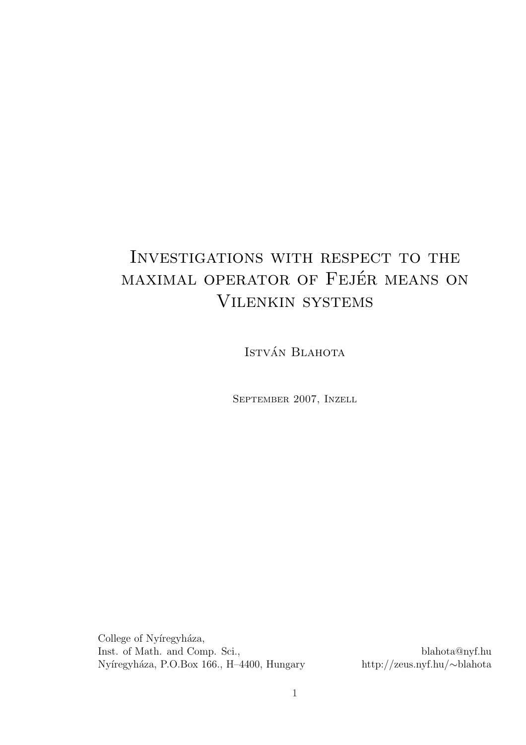# Investigations with respect to the MAXIMAL OPERATOR OF FEJÉR MEANS ON Vilenkin systems

ISTVÁN BLAHOTA

September 2007, Inzell

College of Nyíregyháza, Inst. of Math. and Comp. Sci., blahota@nyf.hu <br>Nyíregyháza, P.O.Box 166., H–4400, Hungary http://zeus.nyf.hu/~blahota Nyíregyháza, P.O.Box 166., H–4400, Hungary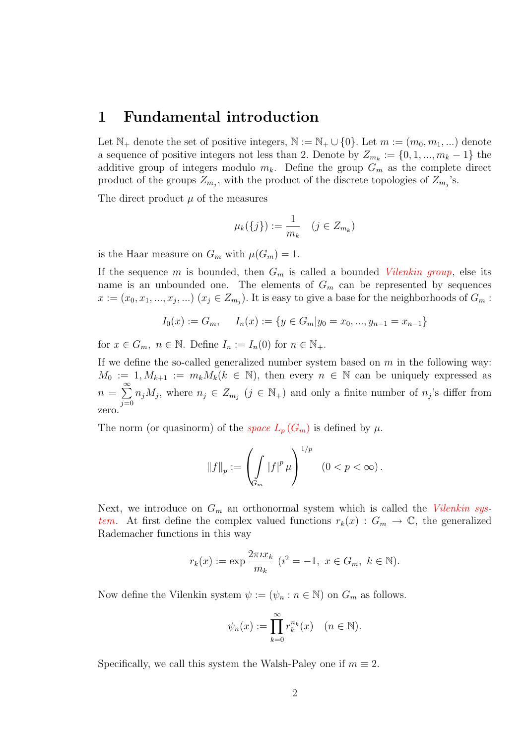#### 1 Fundamental introduction

Let  $\mathbb{N}_+$  denote the set of positive integers,  $\mathbb{N} := \mathbb{N}_+ \cup \{0\}$ . Let  $m := (m_0, m_1, \dots)$  denote a sequence of positive integers not less than 2. Denote by  $Z_{m_k} := \{0, 1, ..., m_k - 1\}$  the additive group of integers modulo  $m_k$ . Define the group  $G_m$  as the complete direct product of the groups  $Z_{m_j}$ , with the product of the discrete topologies of  $Z_{m_j}$ 's.

The direct product  $\mu$  of the measures

$$
\mu_k(\{j\}) := \frac{1}{m_k} \quad (j \in Z_{m_k})
$$

is the Haar measure on  $G_m$  with  $\mu(G_m) = 1$ .

If the sequence m is bounded, then  $G_m$  is called a bounded *Vilenkin group*, else its name is an unbounded one. The elements of  $G_m$  can be represented by sequences  $x := (x_0, x_1, ..., x_j, ...)$   $(x_j \in Z_{m_j})$ . It is easy to give a base for the neighborhoods of  $G_m$ :

$$
I_0(x) := G_m
$$
,  $I_n(x) := \{y \in G_m | y_0 = x_0, ..., y_{n-1} = x_{n-1}\}$ 

for  $x \in G_m$ ,  $n \in \mathbb{N}$ . Define  $I_n := I_n(0)$  for  $n \in \mathbb{N}_+$ .

If we define the so-called generalized number system based on  $m$  in the following way:  $M_0 := 1, M_{k+1} := m_k M_k (k \in \mathbb{N}),$  then every  $n \in \mathbb{N}$  can be uniquely expressed as  $n =$  $\approx$  $j=0$  $n_jM_j$ , where  $n_j \in Z_{m_j}$   $(j \in \mathbb{N}_+)$  and only a finite number of  $n_j$ 's differ from zero.

The norm (or quasinorm) of the *space*  $L_p(G_m)$  is defined by  $\mu$ .

$$
\|f\|_{p} := \left(\int_{G_m} |f|^p \,\mu\right)^{1/p} \quad (0 < p < \infty) \,.
$$

Next, we introduce on  $G_m$  an orthonormal system which is called the *Vilenkin sys*tem. At first define the complex valued functions  $r_k(x)$  :  $G_m \to \mathbb{C}$ , the generalized Rademacher functions in this way

$$
r_k(x) := \exp \frac{2\pi i x_k}{m_k} \ (i^2 = -1, \ x \in G_m, \ k \in \mathbb{N}).
$$

Now define the Vilenkin system  $\psi := (\psi_n : n \in \mathbb{N})$  on  $G_m$  as follows.

$$
\psi_n(x) := \prod_{k=0}^{\infty} r_k^{n_k}(x) \quad (n \in \mathbb{N}).
$$

Specifically, we call this system the Walsh-Paley one if  $m \equiv 2$ .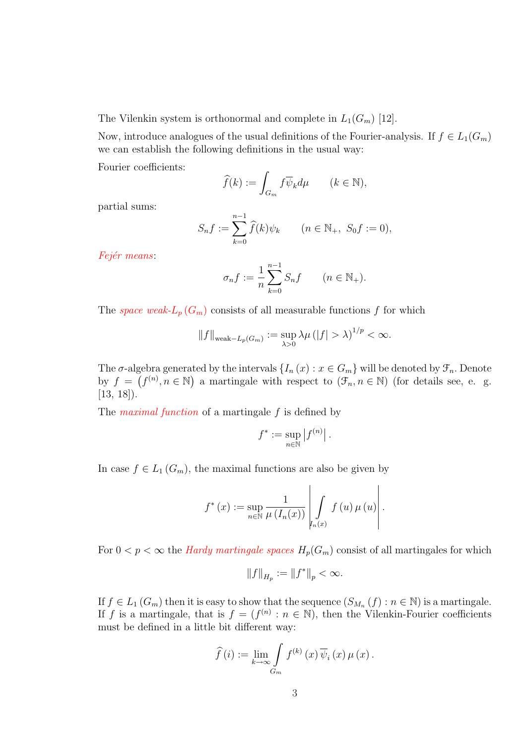The Vilenkin system is orthonormal and complete in  $L_1(G_m)$  [12].

Now, introduce analogues of the usual definitions of the Fourier-analysis. If  $f \in L_1(G_m)$ we can establish the following definitions in the usual way:

Fourier coefficients:

$$
\widehat{f}(k) := \int_{G_m} f \overline{\psi}_k d\mu \qquad (k \in \mathbb{N}),
$$

partial sums:

$$
S_n f := \sum_{k=0}^{n-1} \widehat{f}(k) \psi_k \qquad (n \in \mathbb{N}_+, \ S_0 f := 0),
$$

Fejér means:

$$
\sigma_n f := \frac{1}{n} \sum_{k=0}^{n-1} S_n f \qquad (n \in \mathbb{N}_+).
$$

The *space weak-* $L_p(G_m)$  consists of all measurable functions f for which

$$
||f||_{\text{weak}-L_p(G_m)} := \sup_{\lambda>0} \lambda \mu (|f| > \lambda)^{1/p} < \infty.
$$

The  $\sigma$ -algebra generated by the intervals  $\{I_n(x) : x \in G_m\}$  will be denoted by  $\mathcal{F}_n$ . Denote by  $f = (f^{(n)}, n \in \mathbb{N})$  a martingale with respect to  $(\mathcal{F}_n, n \in \mathbb{N})$  (for details see, e. g. [13, 18]).

The *maximal function* of a martingale  $f$  is defined by

$$
f^* := \sup_{n \in \mathbb{N}} |f^{(n)}|.
$$

In case  $f \in L_1(G_m)$ , the maximal functions are also be given by

$$
f^{*}(x) := \sup_{n \in \mathbb{N}} \frac{1}{\mu(I_n(x))} \left| \int\limits_{I_n(x)} f(u) \, \mu(u) \right|.
$$

 $\overline{a}$ 

 $\overline{a}$ 

For  $0 < p < \infty$  the *Hardy martingale spaces*  $H_p(G_m)$  consist of all martingales for which

$$
||f||_{H_p} := ||f^*||_p < \infty.
$$

If  $f \in L_1(G_m)$  then it is easy to show that the sequence  $(S_{M_n}(f) : n \in \mathbb{N})$  is a martingale. If f is a martingale, that is  $f = (f^{(n)} : n \in \mathbb{N})$ , then the Vilenkin-Fourier coefficients must be defined in a little bit different way:

$$
\widehat{f}(i) := \lim_{k \to \infty} \int_{G_m} f^{(k)}(x) \, \overline{\psi}_i(x) \, \mu(x).
$$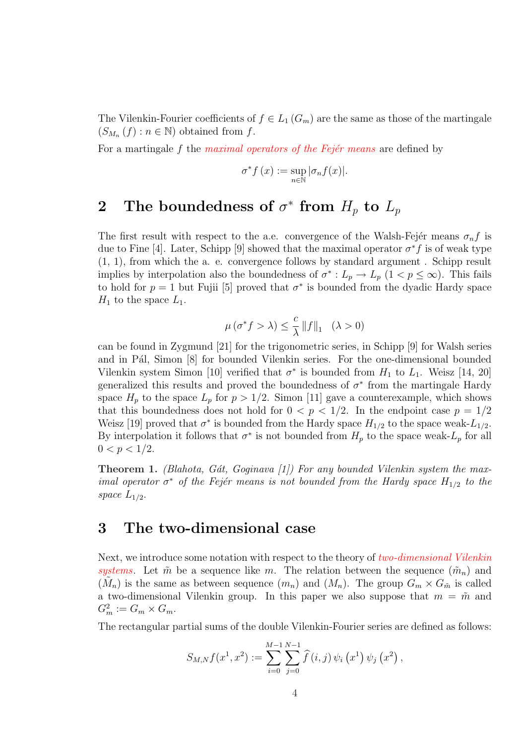The Vilenkin-Fourier coefficients of  $f \in L_1(G_m)$  are the same as those of the martingale  $(S_{M_n}(f) : n \in \mathbb{N})$  obtained from f.

For a martingale  $f$  the *maximal operators of the Fejér means* are defined by

$$
\sigma^* f(x) := \sup_{n \in \mathbb{N}} |\sigma_n f(x)|.
$$

# 2 The boundedness of  $\sigma^*$  from  $H_p$  to  $L_p$

The first result with respect to the a.e. convergence of the Walsh-Fejer means  $\sigma_n f$  is due to Fine [4]. Later, Schipp [9] showed that the maximal operator  $\sigma^* f$  is of weak type (1, 1), from which the a. e. convergence follows by standard argument . Schipp result implies by interpolation also the boundedness of  $\sigma^* : L_p \to L_p$   $(1 \lt p \leq \infty)$ . This fails to hold for  $p = 1$  but Fujii [5] proved that  $\sigma^*$  is bounded from the dyadic Hardy space  $H_1$  to the space  $L_1$ .

$$
\mu(\sigma^* f > \lambda) \le \frac{c}{\lambda} ||f||_1 \quad (\lambda > 0)
$$

can be found in Zygmund [21] for the trigonometric series, in Schipp [9] for Walsh series and in Pál, Simon [8] for bounded Vilenkin series. For the one-dimensional bounded Vilenkin system Simon [10] verified that  $\sigma^*$  is bounded from  $H_1$  to  $L_1$ . Weisz [14, 20] generalized this results and proved the boundedness of  $\sigma^*$  from the martingale Hardy space  $H_p$  to the space  $L_p$  for  $p > 1/2$ . Simon [11] gave a counterexample, which shows that this boundedness does not hold for  $0 < p < 1/2$ . In the endpoint case  $p = 1/2$ Weisz [19] proved that  $\sigma^*$  is bounded from the Hardy space  $H_{1/2}$  to the space weak- $L_{1/2}$ . By interpolation it follows that  $\sigma^*$  is not bounded from  $H_p$  to the space weak- $L_p$  for all  $0 < p < 1/2$ .

**Theorem 1.** (Blahota, Gát, Goginava [1]) For any bounded Vilenkin system the maximal operator  $\sigma^*$  of the Fejér means is not bounded from the Hardy space  $H_{1/2}$  to the space  $L_{1/2}$ .

# 3 The two-dimensional case

Next, we introduce some notation with respect to the theory of two-dimensional Vilenkin systems. Let  $\tilde{m}$  be a sequence like m. The relation between the sequence  $(\tilde{m}_n)$  and  $(M_n)$  is the same as between sequence  $(m_n)$  and  $(M_n)$ . The group  $G_m \times G_m$  is called a two-dimensional Vilenkin group. In this paper we also suppose that  $m = \tilde{m}$  and  $G_m^2 := G_m \times G_m.$ 

The rectangular partial sums of the double Vilenkin-Fourier series are defined as follows:

$$
S_{M,N}f(x^1,x^2) := \sum_{i=0}^{M-1}\sum_{j=0}^{N-1}\widehat{f}(i,j)\,\psi_i\left(x^1\right)\psi_j\left(x^2\right),
$$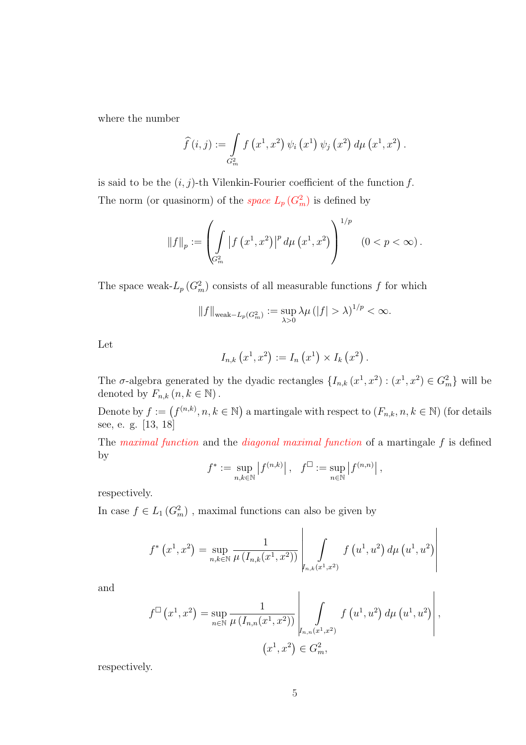where the number

$$
\widehat{f}(i,j) := \int_{G_m^2} f(x^1, x^2) \psi_i(x^1) \psi_j(x^2) d\mu(x^1, x^2).
$$

is said to be the  $(i, j)$ -th Vilenkin-Fourier coefficient of the function f. The norm (or quasinorm) of the *space*  $L_p(G_m^2)$  is defined by

$$
\|f\|_{p} := \left(\int_{G_m^2} |f(x^1, x^2)|^p d\mu(x^1, x^2)\right)^{1/p} (0 < p < \infty).
$$

The space weak- $L_p(G_m^2)$  consists of all measurable functions f for which

$$
||f||_{\text{weak}-L_p(G_m^2)} := \sup_{\lambda>0} \lambda \mu (|f| > \lambda)^{1/p} < \infty.
$$

Let

$$
I_{n,k}(x^{1},x^{2}) := I_{n}(x^{1}) \times I_{k}(x^{2}).
$$

The  $\sigma$ -algebra generated by the dyadic rectangles  $\{I_{n,k}(x^1, x^2): (x^1, x^2) \in G_m^2\}$  will be denoted by  $F_{n,k}$   $(n, k \in \mathbb{N})$ .

Denote by  $f := (f^{(n,k)}, n, k \in \mathbb{N})$ ¢ a martingale with respect to  $(F_{n,k}, n, k \in \mathbb{N})$  (for details see, e. g. [13, 18]

The *maximal function* and the *diagonal maximal function* of a martingale  $f$  is defined by  $\overline{a}$  $\overline{a}$  $\overline{a}$  $\overline{a}$ 

$$
f^* := \sup_{n,k \in \mathbb{N}} |f^{(n,k)}|, \quad f^{\square} := \sup_{n \in \mathbb{N}} |f^{(n,n)}|,
$$

respectively.

In case  $f \in L_1(G_m^2)$ , maximal functions can also be given by

$$
f^{*}(x^{1}, x^{2}) = \sup_{n,k \in \mathbb{N}} \frac{1}{\mu(I_{n,k}(x^{1}, x^{2}))} \left| \int_{I_{n,k}(x^{1}, x^{2})} f(u^{1}, u^{2}) d\mu(u^{1}, u^{2}) \right|
$$

and

$$
f^{\Box}(x^{1}, x^{2}) = \sup_{n \in \mathbb{N}} \frac{1}{\mu(I_{n,n}(x^{1}, x^{2}))} \left| \int_{I_{n,n}(x^{1}, x^{2})} f(u^{1}, u^{2}) d\mu(u^{1}, u^{2}) \right|,
$$
  

$$
(x^{1}, x^{2}) \in G_{m}^{2},
$$

respectively.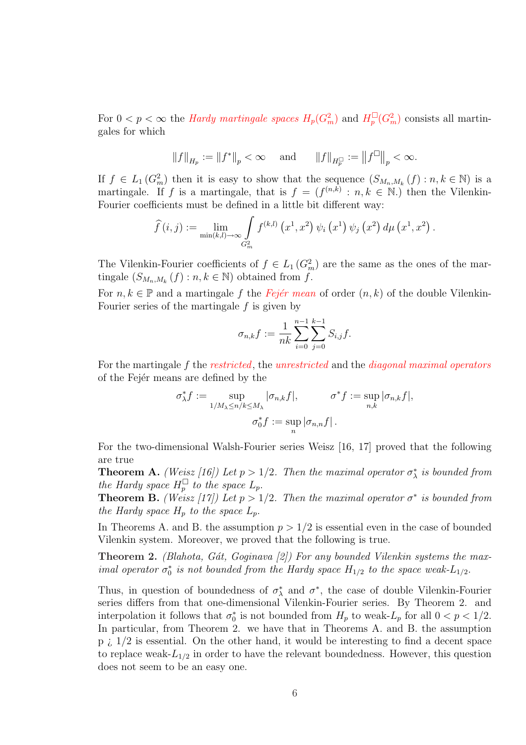For  $0 < p < \infty$  the *Hardy martingale spaces*  $H_p(G_m^2)$  and  $H_p^{\square}(G_m^2)$  consists all martingales for which

$$
||f||_{H_p} := ||f^*||_p < \infty
$$
 and  $||f||_{H_p^{\Box}} := ||f^{\Box}||_p < \infty$ .

If  $f \in L_1(G_m^2)$  then it is easy to show that the sequence  $(S_{M_n,M_k}(f): n, k \in \mathbb{N})$  is a martingale. If f is a martingale, that is  $f = (f^{(n,k)} : n, k \in \mathbb{N})$  then the Vilenkin-Fourier coefficients must be defined in a little bit different way:

$$
\widehat{f}(i,j) := \lim_{\substack{\min(k,l) \to \infty \\ G_m^2}} \int f^{(k,l)}(x^1, x^2) \psi_i(x^1) \psi_j(x^2) d\mu(x^1, x^2).
$$

The Vilenkin-Fourier coefficients of  $f \in L_1(G_m^2)$  are the same as the ones of the martingale  $(S_{M_n,M_k}(f) : n, k \in \mathbb{N})$  obtained from f.

For  $n, k \in \mathbb{P}$  and a martingale f the Fejer mean of order  $(n, k)$  of the double Vilenkin-Fourier series of the martingale  $f$  is given by

$$
\sigma_{n,k}f := \frac{1}{nk} \sum_{i=0}^{n-1} \sum_{j=0}^{k-1} S_{i,j}f.
$$

For the martingale f the restricted, the unrestricted and the diagonal maximal operators of the Fejer means are defined by the

$$
\sigma_{\lambda}^* f := \sup_{1/M_{\lambda} \le n/k \le M_{\lambda}} |\sigma_{n,k} f|, \qquad \sigma^* f := \sup_{n,k} |\sigma_{n,k} f|,
$$

$$
\sigma_0^* f := \sup_n |\sigma_{n,n} f|.
$$

For the two-dimensional Walsh-Fourier series Weisz [16, 17] proved that the following are true

**Theorem A.** (Weisz [16]) Let  $p > 1/2$ . Then the maximal operator  $\sigma_{\lambda}^{*}$  is bounded from the Hardy space  $H_p^{\square}$  to the space  $L_p$ .

**Theorem B.** (Weisz [17]) Let  $p > 1/2$ . Then the maximal operator  $\sigma^*$  is bounded from the Hardy space  $H_p$  to the space  $L_p$ .

In Theorems A. and B. the assumption  $p > 1/2$  is essential even in the case of bounded Vilenkin system. Moreover, we proved that the following is true.

**Theorem 2.** (Blahota, Gát, Goginava [2]) For any bounded Vilenkin systems the maximal operator  $\sigma_0^*$  is not bounded from the Hardy space  $H_{1/2}$  to the space weak- $L_{1/2}$ .

Thus, in question of boundedness of  $\sigma_{\lambda}^{*}$  and  $\sigma^{*}$ , the case of double Vilenkin-Fourier series differs from that one-dimensional Vilenkin-Fourier series. By Theorem 2. and interpolation it follows that  $\sigma_0^*$  is not bounded from  $H_p$  to weak- $L_p$  for all  $0 < p < 1/2$ . In particular, from Theorem 2. we have that in Theorems A. and B. the assumption  $p_i$  1/2 is essential. On the other hand, it would be interesting to find a decent space to replace weak- $L_{1/2}$  in order to have the relevant boundedness. However, this question does not seem to be an easy one.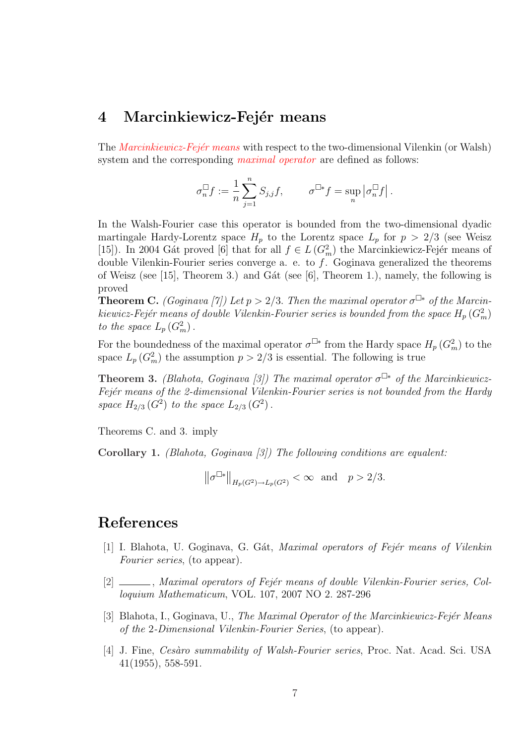### 4 Marcinkiewicz-Fejér means

The *Marcinkiewicz-Fejér means* with respect to the two-dimensional Vilenkin (or Walsh) system and the corresponding *maximal operator* are defined as follows:

$$
\sigma_n^\square f:=\frac{1}{n}\sum_{j=1}^n S_{j,j}f,\qquad \ \ \sigma^{\square *}f=\sup_n\left|\sigma_n^\square f\right|.
$$

In the Walsh-Fourier case this operator is bounded from the two-dimensional dyadic martingale Hardy-Lorentz space  $H_p$  to the Lorentz space  $L_p$  for  $p > 2/3$  (see Weisz [15]). In 2004 Gát proved [6] that for all  $f \in L(G_m^2)$  the Marcinkiewicz-Fejér means of double Vilenkin-Fourier series converge a. e. to  $f$ . Goginava generalized the theorems of Weisz (see [15], Theorem 3.) and Gat (see [6], Theorem 1.), namely, the following is proved

**Theorem C.** (Goginava [7]) Let  $p > 2/3$ . Then the maximal operator  $\sigma^{\Box*}$  of the Marcinkiewicz-Fejér means of double Vilenkin-Fourier series is bounded from the space  $H_p\left(G_m^2\right)$ to the space  $L_p(G_m^2)$ .

For the boundedness of the maximal operator  $\sigma^{\Box*}$  from the Hardy space  $H_p(G_m^2)$  to the space  $L_p(G_m^2)$  the assumption  $p > 2/3$  is essential. The following is true

**Theorem 3.** (Blahota, Goginava [3]) The maximal operator  $\sigma^{\Box*}$  of the Marcinkiewicz-Fejér means of the 2-dimensional Vilenkin-Fourier series is not bounded from the Hardy space  $H_{2/3} (G^2)$  to the space  $L_{2/3} (G^2)$ .

Theorems C. and 3. imply

Corollary 1. (Blahota, Goginava [3]) The following conditions are equalent:

$$
\|\sigma^{\Box *}\|_{H_p(G^2) \to L_p(G^2)} < \infty \text{ and } p > 2/3.
$$

## References

- [1] I. Blahota, U. Goginava, G. Gát, Maximal operators of Fejér means of Vilenkin Fourier series, (to appear).
- [2] \_\_\_\_\_, Maximal operators of Fejér means of double Vilenkin-Fourier series, Colloquium Mathematicum, VOL. 107, 2007 NO 2. 287-296
- [3] Blahota, I., Goginava, U., The Maximal Operator of the Marcinkiewicz-Fejér Means of the 2-Dimensional Vilenkin-Fourier Series, (to appear).
- [4] J. Fine, *Cesàro summability of Walsh-Fourier series*, Proc. Nat. Acad. Sci. USA 41(1955), 558-591.